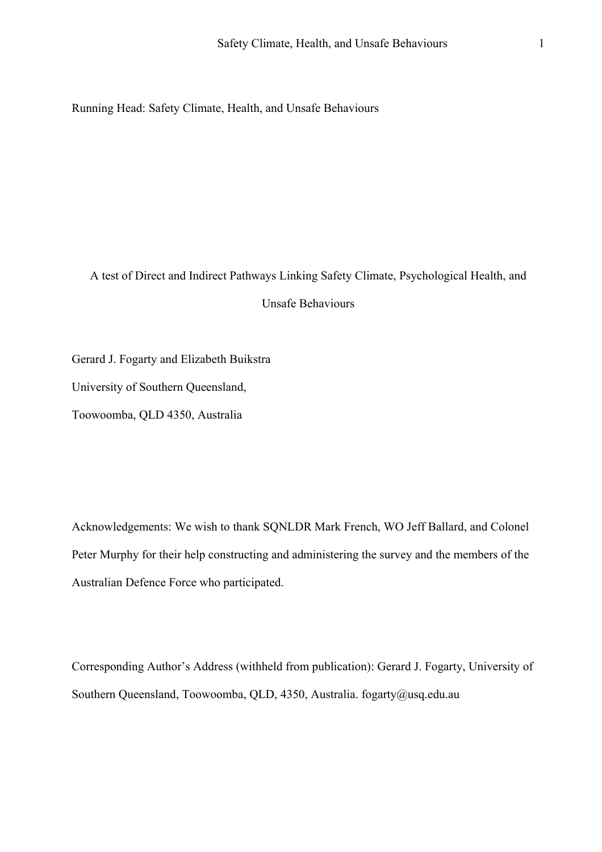Running Head: Safety Climate, Health, and Unsafe Behaviours

A test of Direct and Indirect Pathways Linking Safety Climate, Psychological Health, and Unsafe Behaviours

Gerard J. Fogarty and Elizabeth Buikstra

University of Southern Queensland,

Toowoomba, QLD 4350, Australia

Acknowledgements: We wish to thank SQNLDR Mark French, WO Jeff Ballard, and Colonel Peter Murphy for their help constructing and administering the survey and the members of the Australian Defence Force who participated.

Corresponding Author's Address (withheld from publication): Gerard J. Fogarty, University of Southern Queensland, Toowoomba, QLD, 4350, Australia. fogarty@usq.edu.au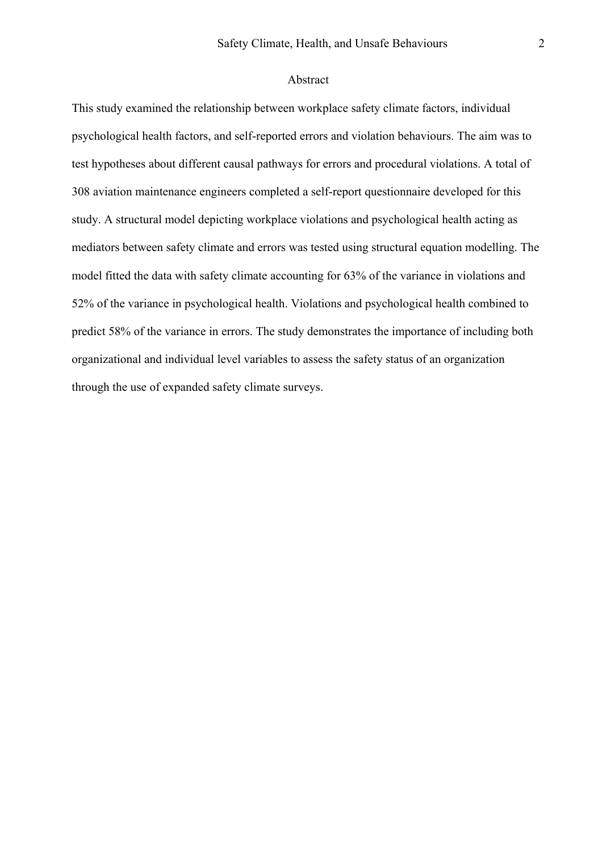## Abstract

This study examined the relationship between workplace safety climate factors, individual psychological health factors, and self-reported errors and violation behaviours. The aim was to test hypotheses about different causal pathways for errors and procedural violations. A total of 308 aviation maintenance engineers completed a self-report questionnaire developed for this study. A structural model depicting workplace violations and psychological health acting as mediators between safety climate and errors was tested using structural equation modelling. The model fitted the data with safety climate accounting for 63% of the variance in violations and 52% of the variance in psychological health. Violations and psychological health combined to predict 58% of the variance in errors. The study demonstrates the importance of including both organizational and individual level variables to assess the safety status of an organization through the use of expanded safety climate surveys.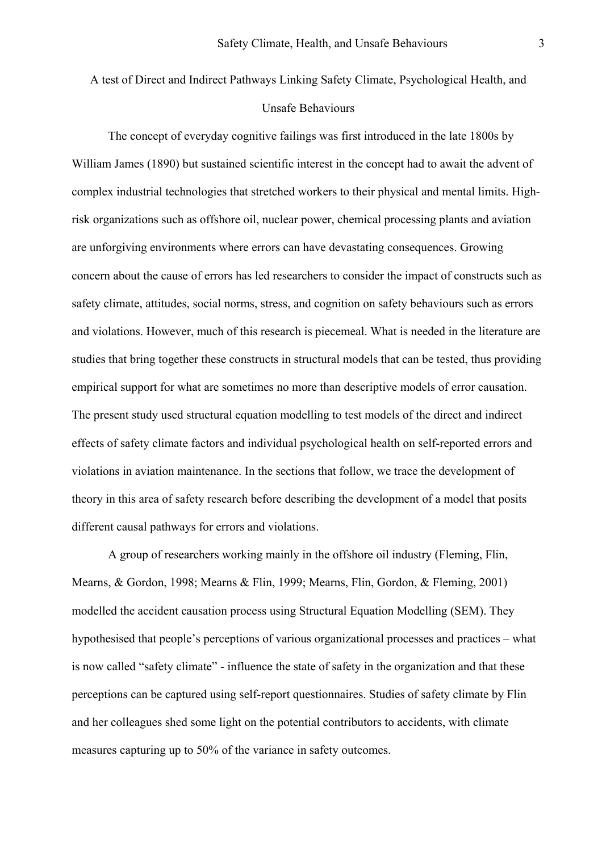# A test of Direct and Indirect Pathways Linking Safety Climate, Psychological Health, and Unsafe Behaviours

The concept of everyday cognitive failings was first introduced in the late 1800s by William James (1890) but sustained scientific interest in the concept had to await the advent of complex industrial technologies that stretched workers to their physical and mental limits. Highrisk organizations such as offshore oil, nuclear power, chemical processing plants and aviation are unforgiving environments where errors can have devastating consequences. Growing concern about the cause of errors has led researchers to consider the impact of constructs such as safety climate, attitudes, social norms, stress, and cognition on safety behaviours such as errors and violations. However, much of this research is piecemeal. What is needed in the literature are studies that bring together these constructs in structural models that can be tested, thus providing empirical support for what are sometimes no more than descriptive models of error causation. The present study used structural equation modelling to test models of the direct and indirect effects of safety climate factors and individual psychological health on self-reported errors and violations in aviation maintenance. In the sections that follow, we trace the development of theory in this area of safety research before describing the development of a model that posits different causal pathways for errors and violations.

A group of researchers working mainly in the offshore oil industry (Fleming, Flin, Mearns, & Gordon, 1998; Mearns & Flin, 1999; Mearns, Flin, Gordon, & Fleming, 2001) modelled the accident causation process using Structural Equation Modelling (SEM). They hypothesised that people's perceptions of various organizational processes and practices – what is now called "safety climate" - influence the state of safety in the organization and that these perceptions can be captured using self-report questionnaires. Studies of safety climate by Flin and her colleagues shed some light on the potential contributors to accidents, with climate measures capturing up to 50% of the variance in safety outcomes.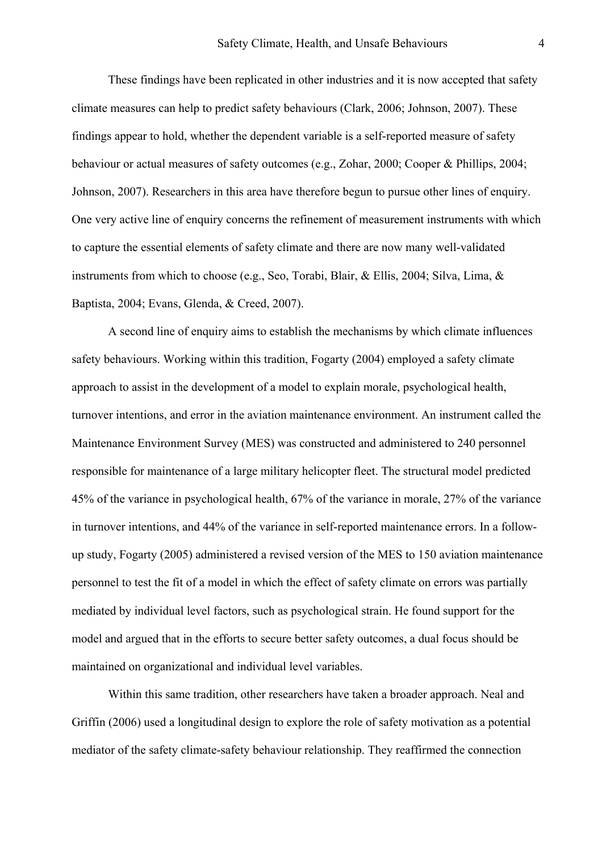These findings have been replicated in other industries and it is now accepted that safety climate measures can help to predict safety behaviours (Clark, 2006; Johnson, 2007). These findings appear to hold, whether the dependent variable is a self-reported measure of safety behaviour or actual measures of safety outcomes (e.g., Zohar, 2000; Cooper & Phillips, 2004; Johnson, 2007). Researchers in this area have therefore begun to pursue other lines of enquiry. One very active line of enquiry concerns the refinement of measurement instruments with which to capture the essential elements of safety climate and there are now many well-validated instruments from which to choose (e.g., Seo, Torabi, Blair, & Ellis, 2004; Silva, Lima, & Baptista, 2004; Evans, Glenda, & Creed, 2007).

A second line of enquiry aims to establish the mechanisms by which climate influences safety behaviours. Working within this tradition, Fogarty (2004) employed a safety climate approach to assist in the development of a model to explain morale, psychological health, turnover intentions, and error in the aviation maintenance environment. An instrument called the Maintenance Environment Survey (MES) was constructed and administered to 240 personnel responsible for maintenance of a large military helicopter fleet. The structural model predicted 45% of the variance in psychological health, 67% of the variance in morale, 27% of the variance in turnover intentions, and 44% of the variance in self-reported maintenance errors. In a followup study, Fogarty (2005) administered a revised version of the MES to 150 aviation maintenance personnel to test the fit of a model in which the effect of safety climate on errors was partially mediated by individual level factors, such as psychological strain. He found support for the model and argued that in the efforts to secure better safety outcomes, a dual focus should be maintained on organizational and individual level variables.

Within this same tradition, other researchers have taken a broader approach. Neal and Griffin (2006) used a longitudinal design to explore the role of safety motivation as a potential mediator of the safety climate-safety behaviour relationship. They reaffirmed the connection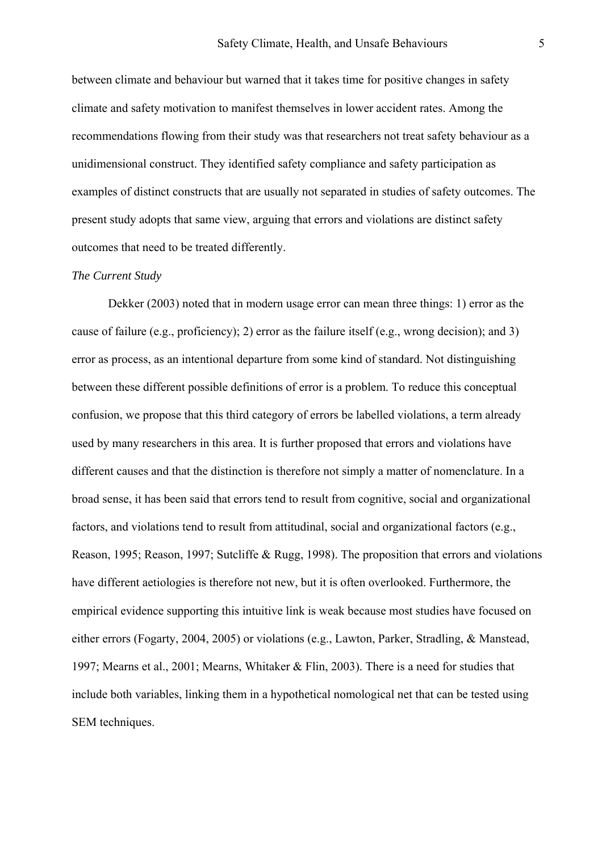between climate and behaviour but warned that it takes time for positive changes in safety climate and safety motivation to manifest themselves in lower accident rates. Among the recommendations flowing from their study was that researchers not treat safety behaviour as a unidimensional construct. They identified safety compliance and safety participation as examples of distinct constructs that are usually not separated in studies of safety outcomes. The present study adopts that same view, arguing that errors and violations are distinct safety outcomes that need to be treated differently.

#### *The Current Study*

Dekker (2003) noted that in modern usage error can mean three things: 1) error as the cause of failure (e.g., proficiency); 2) error as the failure itself (e.g., wrong decision); and 3) error as process, as an intentional departure from some kind of standard. Not distinguishing between these different possible definitions of error is a problem. To reduce this conceptual confusion, we propose that this third category of errors be labelled violations, a term already used by many researchers in this area. It is further proposed that errors and violations have different causes and that the distinction is therefore not simply a matter of nomenclature. In a broad sense, it has been said that errors tend to result from cognitive, social and organizational factors, and violations tend to result from attitudinal, social and organizational factors (e.g., Reason, 1995; Reason, 1997; Sutcliffe & Rugg, 1998). The proposition that errors and violations have different aetiologies is therefore not new, but it is often overlooked. Furthermore, the empirical evidence supporting this intuitive link is weak because most studies have focused on either errors (Fogarty, 2004, 2005) or violations (e.g., Lawton, Parker, Stradling, & Manstead, 1997; Mearns et al., 2001; Mearns, Whitaker & Flin, 2003). There is a need for studies that include both variables, linking them in a hypothetical nomological net that can be tested using SEM techniques.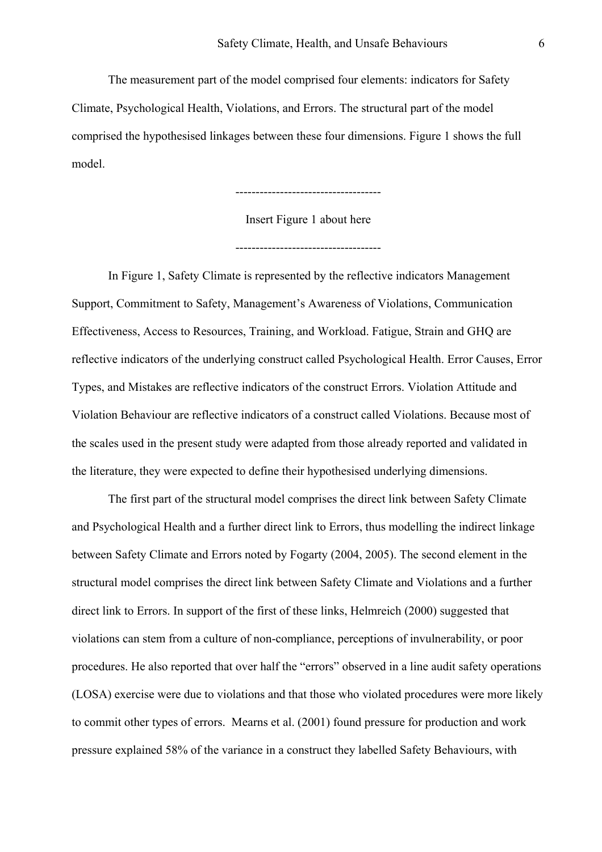The measurement part of the model comprised four elements: indicators for Safety Climate, Psychological Health, Violations, and Errors. The structural part of the model comprised the hypothesised linkages between these four dimensions. Figure 1 shows the full model.

------------------------------------

Insert Figure 1 about here

------------------------------------

In Figure 1, Safety Climate is represented by the reflective indicators Management Support, Commitment to Safety, Management's Awareness of Violations, Communication Effectiveness, Access to Resources, Training, and Workload. Fatigue, Strain and GHQ are reflective indicators of the underlying construct called Psychological Health. Error Causes, Error Types, and Mistakes are reflective indicators of the construct Errors. Violation Attitude and Violation Behaviour are reflective indicators of a construct called Violations. Because most of the scales used in the present study were adapted from those already reported and validated in the literature, they were expected to define their hypothesised underlying dimensions.

The first part of the structural model comprises the direct link between Safety Climate and Psychological Health and a further direct link to Errors, thus modelling the indirect linkage between Safety Climate and Errors noted by Fogarty (2004, 2005). The second element in the structural model comprises the direct link between Safety Climate and Violations and a further direct link to Errors. In support of the first of these links, Helmreich (2000) suggested that violations can stem from a culture of non-compliance, perceptions of invulnerability, or poor procedures. He also reported that over half the "errors" observed in a line audit safety operations (LOSA) exercise were due to violations and that those who violated procedures were more likely to commit other types of errors. Mearns et al. (2001) found pressure for production and work pressure explained 58% of the variance in a construct they labelled Safety Behaviours, with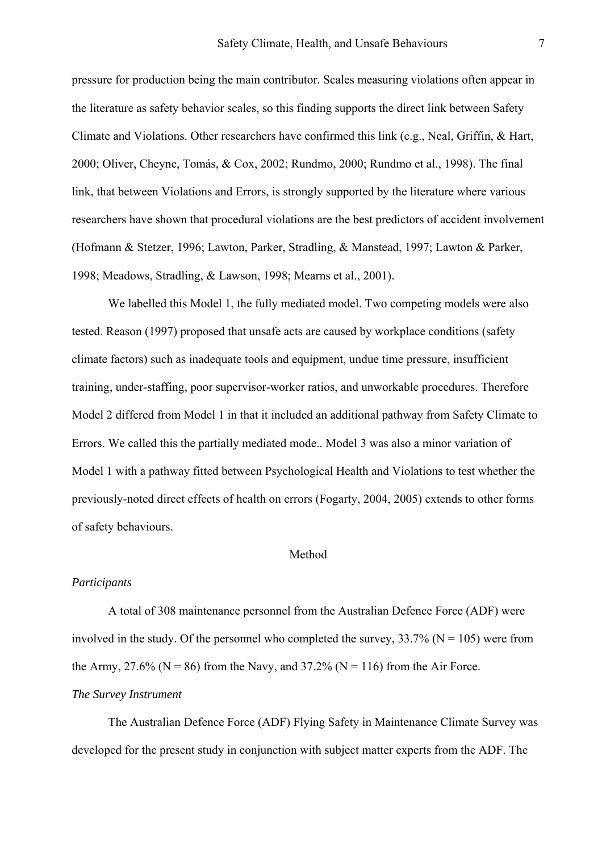pressure for production being the main contributor. Scales measuring violations often appear in the literature as safety behavior scales, so this finding supports the direct link between Safety Climate and Violations. Other researchers have confirmed this link (e.g., Neal, Griffin, & Hart, 2000; Oliver, Cheyne, Tomás, & Cox, 2002; Rundmo, 2000; Rundmo et al., 1998). The final link, that between Violations and Errors, is strongly supported by the literature where various researchers have shown that procedural violations are the best predictors of accident involvement (Hofmann & Stetzer, 1996; Lawton, Parker, Stradling, & Manstead, 1997; Lawton & Parker, 1998; Meadows, Stradling, & Lawson, 1998; Mearns et al., 2001).

We labelled this Model 1, the fully mediated model. Two competing models were also tested. Reason (1997) proposed that unsafe acts are caused by workplace conditions (safety climate factors) such as inadequate tools and equipment, undue time pressure, insufficient training, under-staffing, poor supervisor-worker ratios, and unworkable procedures. Therefore Model 2 differed from Model 1 in that it included an additional pathway from Safety Climate to Errors. We called this the partially mediated mode.. Model 3 was also a minor variation of Model 1 with a pathway fitted between Psychological Health and Violations to test whether the previously-noted direct effects of health on errors (Fogarty, 2004, 2005) extends to other forms of safety behaviours.

## Method

## *Participants*

A total of 308 maintenance personnel from the Australian Defence Force (ADF) were involved in the study. Of the personnel who completed the survey,  $33.7\%$  (N = 105) were from the Army, 27.6% ( $N = 86$ ) from the Navy, and 37.2% ( $N = 116$ ) from the Air Force.

## *The Survey Instrument*

The Australian Defence Force (ADF) Flying Safety in Maintenance Climate Survey was developed for the present study in conjunction with subject matter experts from the ADF. The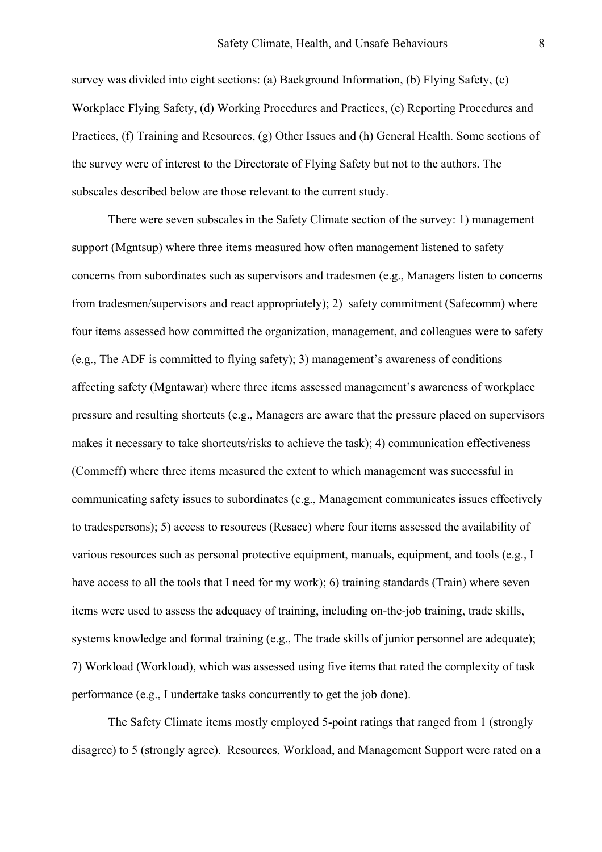survey was divided into eight sections: (a) Background Information, (b) Flying Safety, (c) Workplace Flying Safety, (d) Working Procedures and Practices, (e) Reporting Procedures and Practices, (f) Training and Resources, (g) Other Issues and (h) General Health. Some sections of the survey were of interest to the Directorate of Flying Safety but not to the authors. The subscales described below are those relevant to the current study.

There were seven subscales in the Safety Climate section of the survey: 1) management support (Mgntsup) where three items measured how often management listened to safety concerns from subordinates such as supervisors and tradesmen (e.g., Managers listen to concerns from tradesmen/supervisors and react appropriately); 2) safety commitment (Safecomm) where four items assessed how committed the organization, management, and colleagues were to safety (e.g., The ADF is committed to flying safety); 3) management's awareness of conditions affecting safety (Mgntawar) where three items assessed management's awareness of workplace pressure and resulting shortcuts (e.g., Managers are aware that the pressure placed on supervisors makes it necessary to take shortcuts/risks to achieve the task); 4) communication effectiveness (Commeff) where three items measured the extent to which management was successful in communicating safety issues to subordinates (e.g., Management communicates issues effectively to tradespersons); 5) access to resources (Resacc) where four items assessed the availability of various resources such as personal protective equipment, manuals, equipment, and tools (e.g., I have access to all the tools that I need for my work); 6) training standards (Train) where seven items were used to assess the adequacy of training, including on-the-job training, trade skills, systems knowledge and formal training (e.g., The trade skills of junior personnel are adequate); 7) Workload (Workload), which was assessed using five items that rated the complexity of task performance (e.g., I undertake tasks concurrently to get the job done).

The Safety Climate items mostly employed 5-point ratings that ranged from 1 (strongly disagree) to 5 (strongly agree). Resources, Workload, and Management Support were rated on a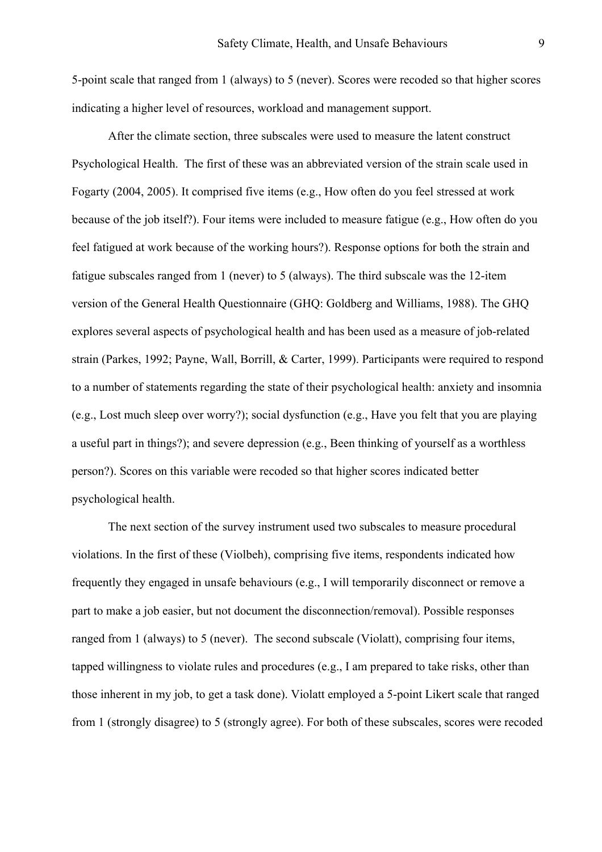5-point scale that ranged from 1 (always) to 5 (never). Scores were recoded so that higher scores indicating a higher level of resources, workload and management support.

After the climate section, three subscales were used to measure the latent construct Psychological Health. The first of these was an abbreviated version of the strain scale used in Fogarty (2004, 2005). It comprised five items (e.g., How often do you feel stressed at work because of the job itself?). Four items were included to measure fatigue (e.g., How often do you feel fatigued at work because of the working hours?). Response options for both the strain and fatigue subscales ranged from 1 (never) to 5 (always). The third subscale was the 12-item version of the General Health Questionnaire (GHQ: Goldberg and Williams, 1988). The GHQ explores several aspects of psychological health and has been used as a measure of job-related strain (Parkes, 1992; Payne, Wall, Borrill, & Carter, 1999). Participants were required to respond to a number of statements regarding the state of their psychological health: anxiety and insomnia (e.g., Lost much sleep over worry?); social dysfunction (e.g., Have you felt that you are playing a useful part in things?); and severe depression (e.g., Been thinking of yourself as a worthless person?). Scores on this variable were recoded so that higher scores indicated better psychological health.

The next section of the survey instrument used two subscales to measure procedural violations. In the first of these (Violbeh), comprising five items, respondents indicated how frequently they engaged in unsafe behaviours (e.g., I will temporarily disconnect or remove a part to make a job easier, but not document the disconnection/removal). Possible responses ranged from 1 (always) to 5 (never). The second subscale (Violatt), comprising four items, tapped willingness to violate rules and procedures (e.g., I am prepared to take risks, other than those inherent in my job, to get a task done). Violatt employed a 5-point Likert scale that ranged from 1 (strongly disagree) to 5 (strongly agree). For both of these subscales, scores were recoded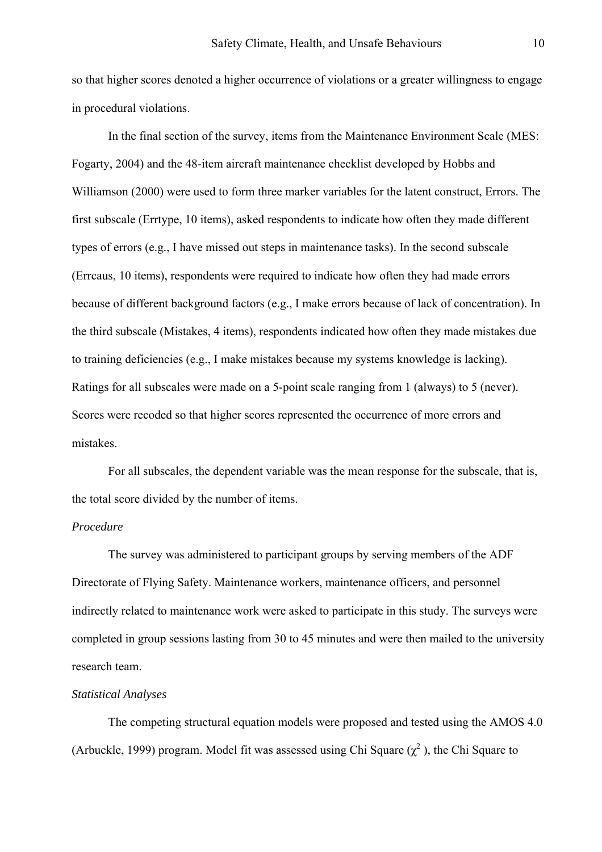so that higher scores denoted a higher occurrence of violations or a greater willingness to engage in procedural violations.

In the final section of the survey, items from the Maintenance Environment Scale (MES: Fogarty, 2004) and the 48-item aircraft maintenance checklist developed by Hobbs and Williamson (2000) were used to form three marker variables for the latent construct, Errors. The first subscale (Errtype, 10 items), asked respondents to indicate how often they made different types of errors (e.g., I have missed out steps in maintenance tasks). In the second subscale (Errcaus, 10 items), respondents were required to indicate how often they had made errors because of different background factors (e.g., I make errors because of lack of concentration). In the third subscale (Mistakes, 4 items), respondents indicated how often they made mistakes due to training deficiencies (e.g., I make mistakes because my systems knowledge is lacking). Ratings for all subscales were made on a 5-point scale ranging from 1 (always) to 5 (never). Scores were recoded so that higher scores represented the occurrence of more errors and mistakes.

For all subscales, the dependent variable was the mean response for the subscale, that is, the total score divided by the number of items.

## *Procedure*

The survey was administered to participant groups by serving members of the ADF Directorate of Flying Safety. Maintenance workers, maintenance officers, and personnel indirectly related to maintenance work were asked to participate in this study. The surveys were completed in group sessions lasting from 30 to 45 minutes and were then mailed to the university research team.

## *Statistical Analyses*

The competing structural equation models were proposed and tested using the AMOS 4.0 (Arbuckle, 1999) program. Model fit was assessed using Chi Square  $(\chi^2)$ , the Chi Square to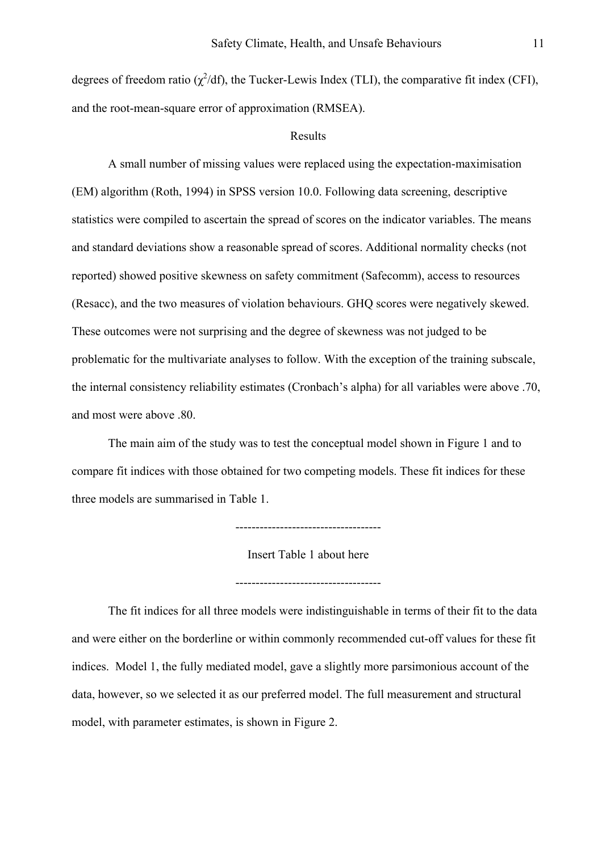degrees of freedom ratio ( $\chi^2$ /df), the Tucker-Lewis Index (TLI), the comparative fit index (CFI), and the root-mean-square error of approximation (RMSEA).

#### Results

 A small number of missing values were replaced using the expectation-maximisation (EM) algorithm (Roth, 1994) in SPSS version 10.0. Following data screening, descriptive statistics were compiled to ascertain the spread of scores on the indicator variables. The means and standard deviations show a reasonable spread of scores. Additional normality checks (not reported) showed positive skewness on safety commitment (Safecomm), access to resources (Resacc), and the two measures of violation behaviours. GHQ scores were negatively skewed. These outcomes were not surprising and the degree of skewness was not judged to be problematic for the multivariate analyses to follow. With the exception of the training subscale, the internal consistency reliability estimates (Cronbach's alpha) for all variables were above .70, and most were above .80.

The main aim of the study was to test the conceptual model shown in Figure 1 and to compare fit indices with those obtained for two competing models. These fit indices for these three models are summarised in Table 1.

------------------------------------

Insert Table 1 about here

------------------------------------

The fit indices for all three models were indistinguishable in terms of their fit to the data and were either on the borderline or within commonly recommended cut-off values for these fit indices. Model 1, the fully mediated model, gave a slightly more parsimonious account of the data, however, so we selected it as our preferred model. The full measurement and structural model, with parameter estimates, is shown in Figure 2.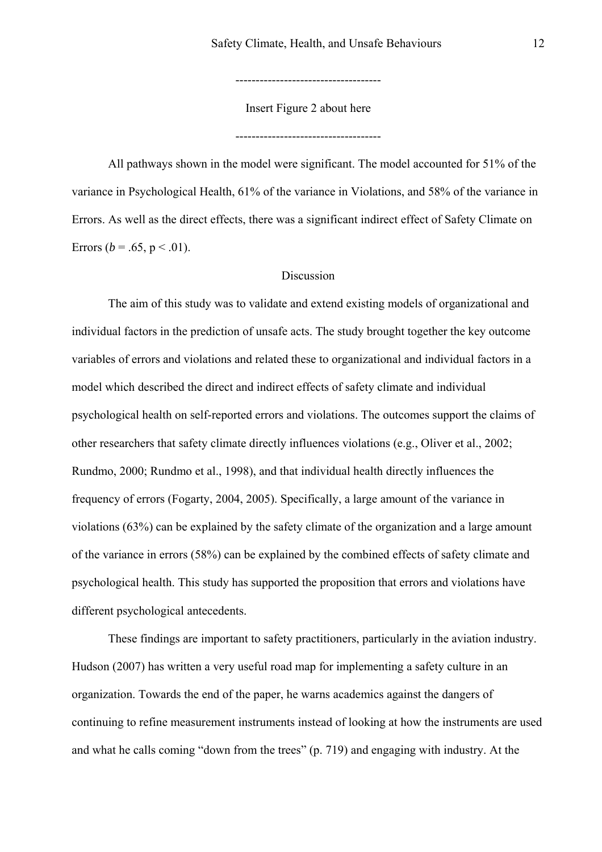------------------------------------

Insert Figure 2 about here

------------------------------------

All pathways shown in the model were significant. The model accounted for 51% of the variance in Psychological Health, 61% of the variance in Violations, and 58% of the variance in Errors. As well as the direct effects, there was a significant indirect effect of Safety Climate on Errors ( $b = .65$ ,  $p < .01$ ).

## **Discussion**

The aim of this study was to validate and extend existing models of organizational and individual factors in the prediction of unsafe acts. The study brought together the key outcome variables of errors and violations and related these to organizational and individual factors in a model which described the direct and indirect effects of safety climate and individual psychological health on self-reported errors and violations. The outcomes support the claims of other researchers that safety climate directly influences violations (e.g., Oliver et al., 2002; Rundmo, 2000; Rundmo et al., 1998), and that individual health directly influences the frequency of errors (Fogarty, 2004, 2005). Specifically, a large amount of the variance in violations (63%) can be explained by the safety climate of the organization and a large amount of the variance in errors (58%) can be explained by the combined effects of safety climate and psychological health. This study has supported the proposition that errors and violations have different psychological antecedents.

These findings are important to safety practitioners, particularly in the aviation industry. Hudson (2007) has written a very useful road map for implementing a safety culture in an organization. Towards the end of the paper, he warns academics against the dangers of continuing to refine measurement instruments instead of looking at how the instruments are used and what he calls coming "down from the trees" (p. 719) and engaging with industry. At the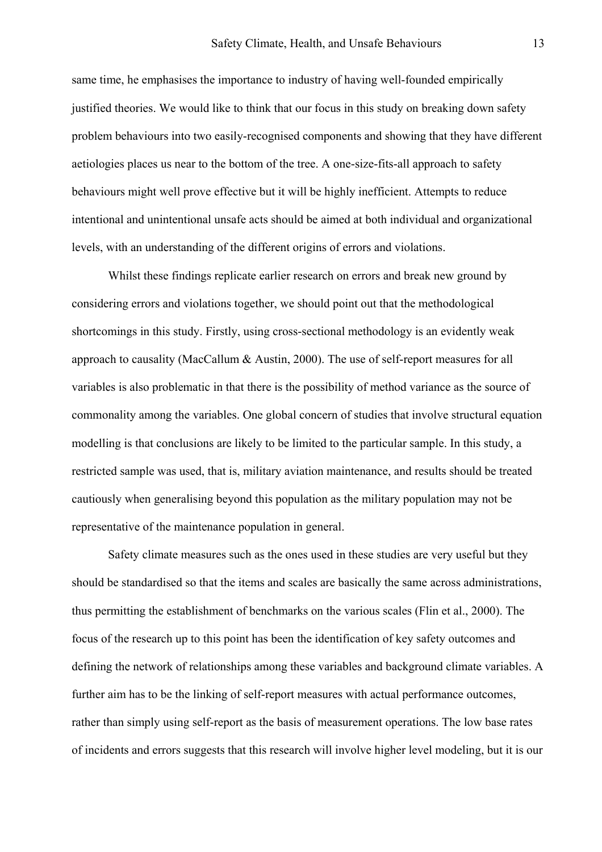same time, he emphasises the importance to industry of having well-founded empirically justified theories. We would like to think that our focus in this study on breaking down safety problem behaviours into two easily-recognised components and showing that they have different aetiologies places us near to the bottom of the tree. A one-size-fits-all approach to safety behaviours might well prove effective but it will be highly inefficient. Attempts to reduce intentional and unintentional unsafe acts should be aimed at both individual and organizational levels, with an understanding of the different origins of errors and violations.

Whilst these findings replicate earlier research on errors and break new ground by considering errors and violations together, we should point out that the methodological shortcomings in this study. Firstly, using cross-sectional methodology is an evidently weak approach to causality (MacCallum & Austin, 2000). The use of self-report measures for all variables is also problematic in that there is the possibility of method variance as the source of commonality among the variables. One global concern of studies that involve structural equation modelling is that conclusions are likely to be limited to the particular sample. In this study, a restricted sample was used, that is, military aviation maintenance, and results should be treated cautiously when generalising beyond this population as the military population may not be representative of the maintenance population in general.

Safety climate measures such as the ones used in these studies are very useful but they should be standardised so that the items and scales are basically the same across administrations, thus permitting the establishment of benchmarks on the various scales (Flin et al., 2000). The focus of the research up to this point has been the identification of key safety outcomes and defining the network of relationships among these variables and background climate variables. A further aim has to be the linking of self-report measures with actual performance outcomes, rather than simply using self-report as the basis of measurement operations. The low base rates of incidents and errors suggests that this research will involve higher level modeling, but it is our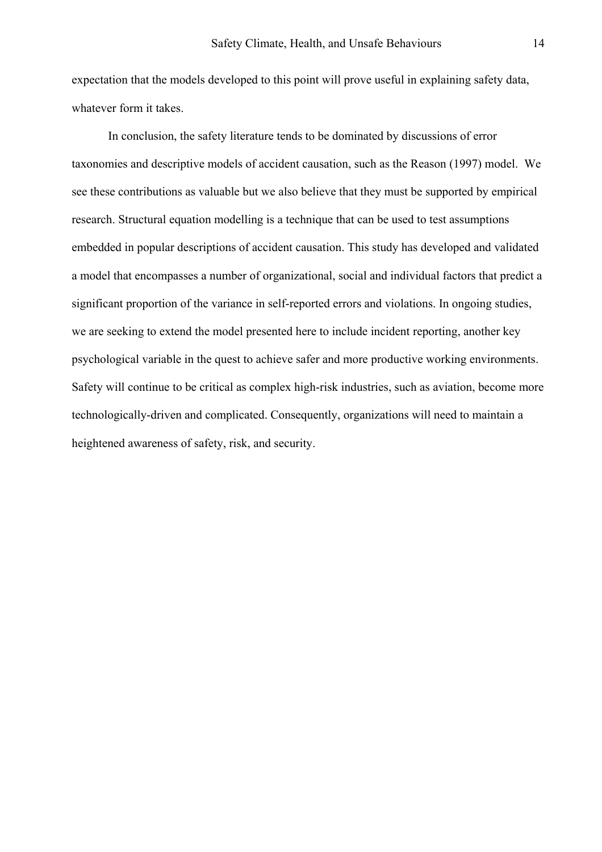expectation that the models developed to this point will prove useful in explaining safety data, whatever form it takes.

In conclusion, the safety literature tends to be dominated by discussions of error taxonomies and descriptive models of accident causation, such as the Reason (1997) model. We see these contributions as valuable but we also believe that they must be supported by empirical research. Structural equation modelling is a technique that can be used to test assumptions embedded in popular descriptions of accident causation. This study has developed and validated a model that encompasses a number of organizational, social and individual factors that predict a significant proportion of the variance in self-reported errors and violations. In ongoing studies, we are seeking to extend the model presented here to include incident reporting, another key psychological variable in the quest to achieve safer and more productive working environments. Safety will continue to be critical as complex high-risk industries, such as aviation, become more technologically-driven and complicated. Consequently, organizations will need to maintain a heightened awareness of safety, risk, and security.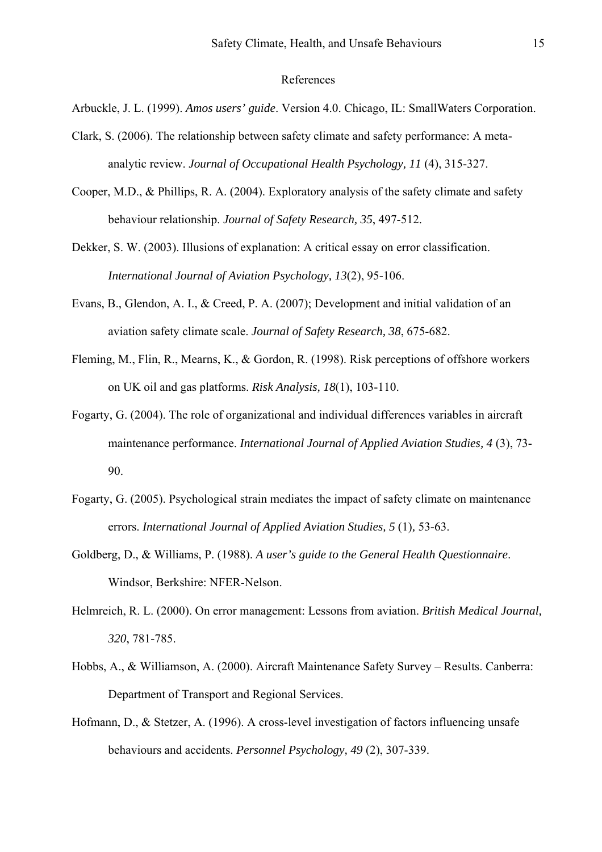## References

- Arbuckle, J. L. (1999). *Amos users' guide*. Version 4.0. Chicago, IL: SmallWaters Corporation.
- Clark, S. (2006). The relationship between safety climate and safety performance: A metaanalytic review. *Journal of Occupational Health Psychology, 11* (4), 315-327.
- Cooper, M.D., & Phillips, R. A. (2004). Exploratory analysis of the safety climate and safety behaviour relationship. *Journal of Safety Research, 35*, 497-512.
- Dekker, S. W. (2003). Illusions of explanation: A critical essay on error classification. *International Journal of Aviation Psychology, 13*(2), 95-106.
- Evans, B., Glendon, A. I., & Creed, P. A. (2007); Development and initial validation of an aviation safety climate scale. *Journal of Safety Research, 38*, 675-682.
- Fleming, M., Flin, R., Mearns, K., & Gordon, R. (1998). Risk perceptions of offshore workers on UK oil and gas platforms. *Risk Analysis, 18*(1), 103-110.
- Fogarty, G. (2004). The role of organizational and individual differences variables in aircraft maintenance performance. *International Journal of Applied Aviation Studies, 4* (3), 73- 90.
- Fogarty, G. (2005). Psychological strain mediates the impact of safety climate on maintenance errors. *International Journal of Applied Aviation Studies, 5* (1)*,* 53-63.
- Goldberg, D., & Williams, P. (1988). *A user's guide to the General Health Questionnaire*. Windsor, Berkshire: NFER-Nelson.
- Helmreich, R. L. (2000). On error management: Lessons from aviation. *British Medical Journal, 320*, 781-785.
- Hobbs, A., & Williamson, A. (2000). Aircraft Maintenance Safety Survey Results. Canberra: Department of Transport and Regional Services.
- Hofmann, D., & Stetzer, A. (1996). A cross-level investigation of factors influencing unsafe behaviours and accidents. *Personnel Psychology, 49* (2), 307-339.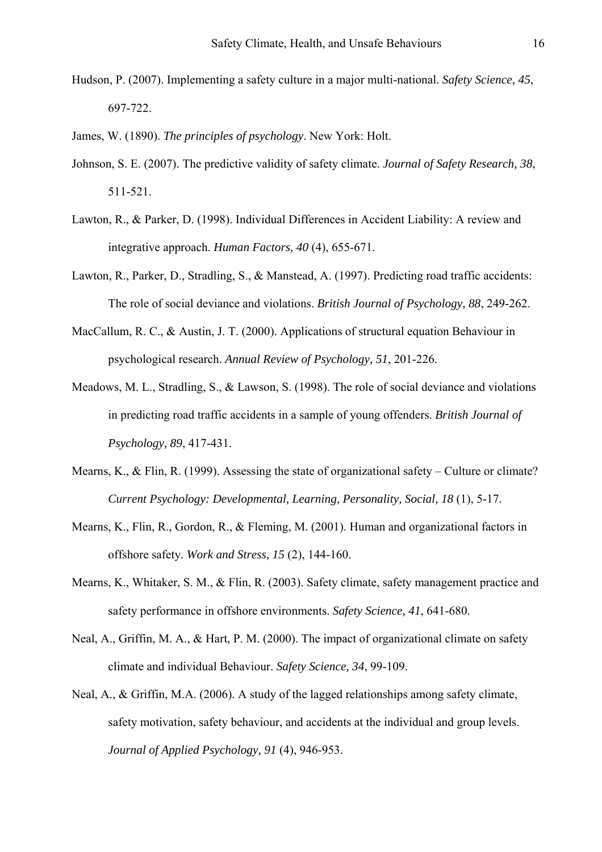- Hudson, P. (2007). Implementing a safety culture in a major multi-national. *Safety Science, 45*, 697-722.
- James, W. (1890). *The principles of psychology*. New York: Holt.
- Johnson, S. E. (2007). The predictive validity of safety climate. *Journal of Safety Research, 38*, 511-521.
- Lawton, R., & Parker, D. (1998). Individual Differences in Accident Liability: A review and integrative approach. *Human Factors, 40* (4), 655-671.
- Lawton, R., Parker, D., Stradling, S., & Manstead, A. (1997). Predicting road traffic accidents: The role of social deviance and violations. *British Journal of Psychology, 88*, 249-262.
- MacCallum, R. C., & Austin, J. T. (2000). Applications of structural equation Behaviour in psychological research. *Annual Review of Psychology, 51*, 201-226.
- Meadows, M. L., Stradling, S., & Lawson, S. (1998). The role of social deviance and violations in predicting road traffic accidents in a sample of young offenders. *British Journal of Psychology, 89*, 417-431.
- Mearns, K., & Flin, R. (1999). Assessing the state of organizational safety Culture or climate? *Current Psychology: Developmental, Learning, Personality, Social, 18* (1), 5-17.
- Mearns, K., Flin, R., Gordon, R., & Fleming, M. (2001). Human and organizational factors in offshore safety. *Work and Stress, 15* (2), 144-160.
- Mearns, K., Whitaker, S. M., & Flin, R. (2003). Safety climate, safety management practice and safety performance in offshore environments. *Safety Science, 41*, 641-680.
- Neal, A., Griffin, M. A., & Hart, P. M. (2000). The impact of organizational climate on safety climate and individual Behaviour. *Safety Science, 34*, 99-109.
- Neal, A., & Griffin, M.A. (2006). A study of the lagged relationships among safety climate, safety motivation, safety behaviour, and accidents at the individual and group levels. *Journal of Applied Psychology, 91* (4), 946-953.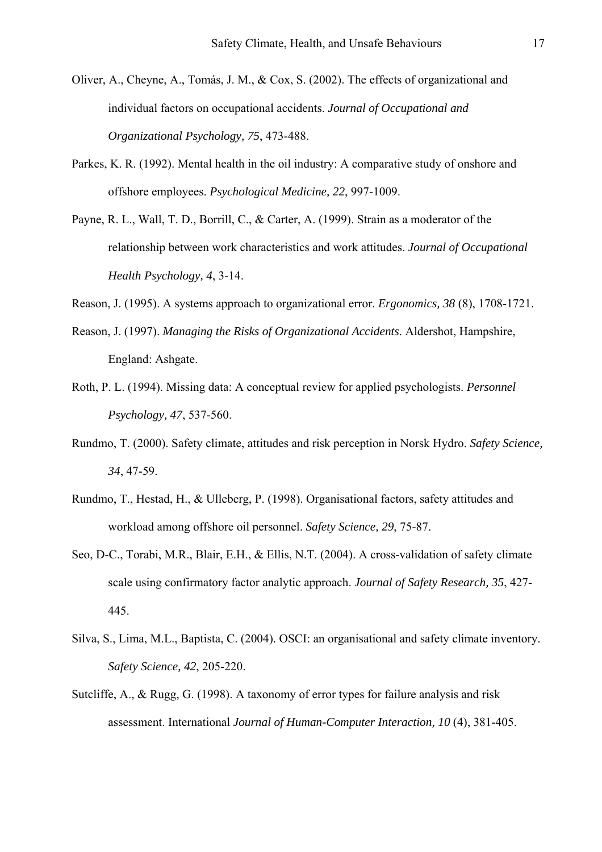- Oliver, A., Cheyne, A., Tomás, J. M., & Cox, S. (2002). The effects of organizational and individual factors on occupational accidents. *Journal of Occupational and Organizational Psychology, 75*, 473-488.
- Parkes, K. R. (1992). Mental health in the oil industry: A comparative study of onshore and offshore employees. *Psychological Medicine, 22*, 997-1009.
- Payne, R. L., Wall, T. D., Borrill, C., & Carter, A. (1999). Strain as a moderator of the relationship between work characteristics and work attitudes. *Journal of Occupational Health Psychology, 4*, 3-14.
- Reason, J. (1995). A systems approach to organizational error. *Ergonomics, 38* (8), 1708-1721.
- Reason, J. (1997). *Managing the Risks of Organizational Accidents*. Aldershot, Hampshire, England: Ashgate.
- Roth, P. L. (1994). Missing data: A conceptual review for applied psychologists. *Personnel Psychology, 47*, 537-560.
- Rundmo, T. (2000). Safety climate, attitudes and risk perception in Norsk Hydro. *Safety Science, 34*, 47-59.
- Rundmo, T., Hestad, H., & Ulleberg, P. (1998). Organisational factors, safety attitudes and workload among offshore oil personnel. *Safety Science, 29*, 75-87.
- Seo, D-C., Torabi, M.R., Blair, E.H., & Ellis, N.T. (2004). A cross-validation of safety climate scale using confirmatory factor analytic approach. *Journal of Safety Research, 35*, 427- 445.
- Silva, S., Lima, M.L., Baptista, C. (2004). OSCI: an organisational and safety climate inventory. *Safety Science, 42*, 205-220.
- Sutcliffe, A., & Rugg, G. (1998). A taxonomy of error types for failure analysis and risk assessment. International *Journal of Human-Computer Interaction, 10* (4), 381-405.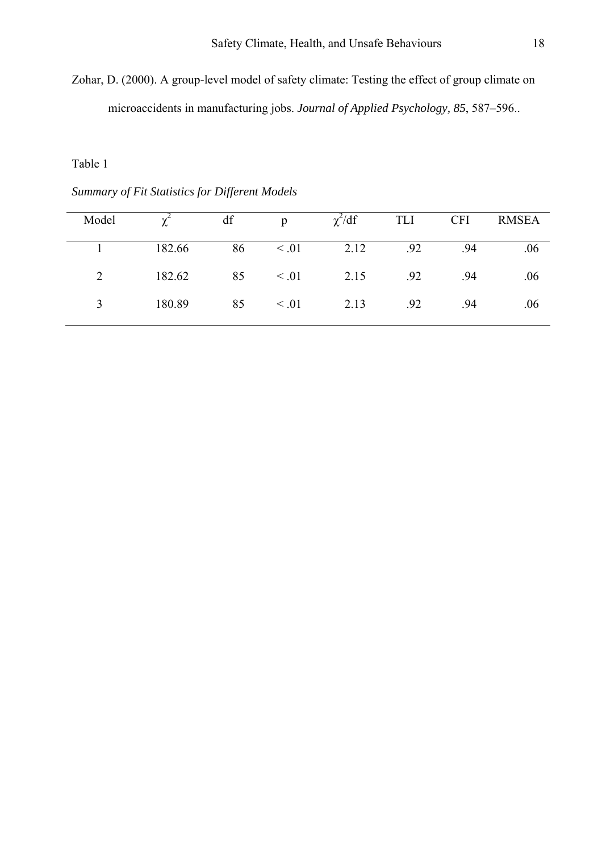Zohar, D. (2000). A group-level model of safety climate: Testing the effect of group climate on microaccidents in manufacturing jobs. *Journal of Applied Psychology, 85*, 587–596..

Table 1

*Summary of Fit Statistics for Different Models* 

| Model |        | df | $\mathfrak{p}$ | $\chi^2/df$ | TLI | <b>CFI</b> | <b>RMSEA</b> |
|-------|--------|----|----------------|-------------|-----|------------|--------------|
|       | 182.66 | 86 | $\leq .01$     | 2.12        | .92 | .94        | .06          |
|       | 182.62 | 85 | $\leq .01$     | 2.15        | .92 | .94        | .06          |
|       | 180.89 | 85 | $\leq .01$     | 2.13        | .92 | .94        | .06          |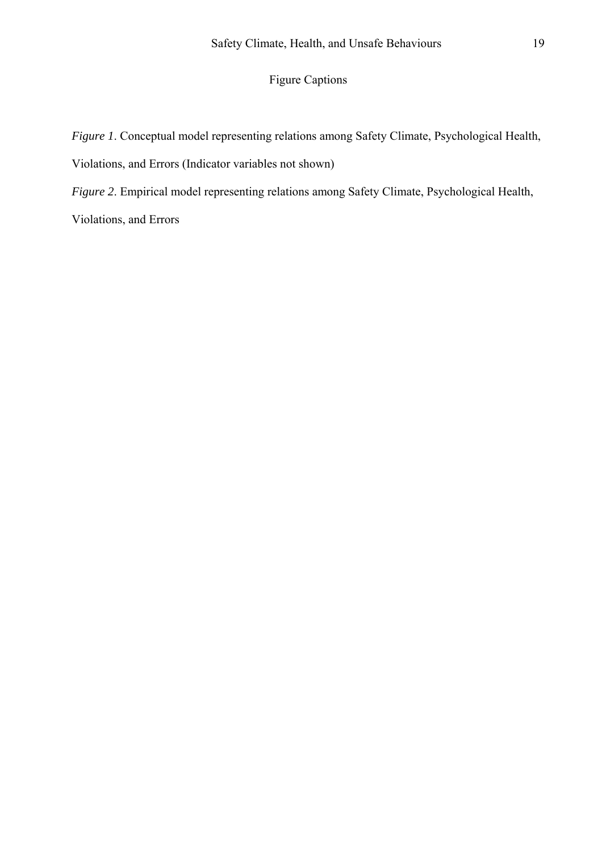## Figure Captions

*Figure 1*. Conceptual model representing relations among Safety Climate, Psychological Health, Violations, and Errors (Indicator variables not shown)

*Figure 2*. Empirical model representing relations among Safety Climate, Psychological Health,

Violations, and Errors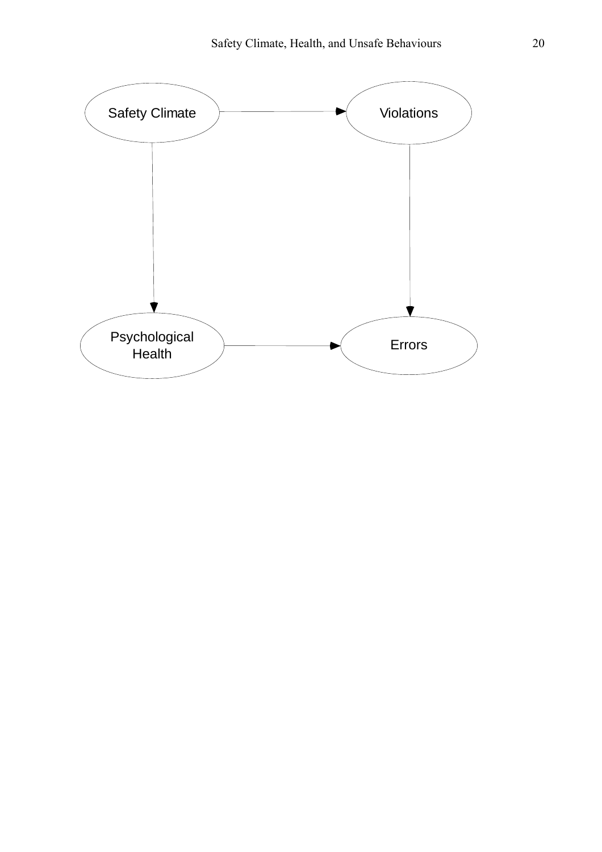